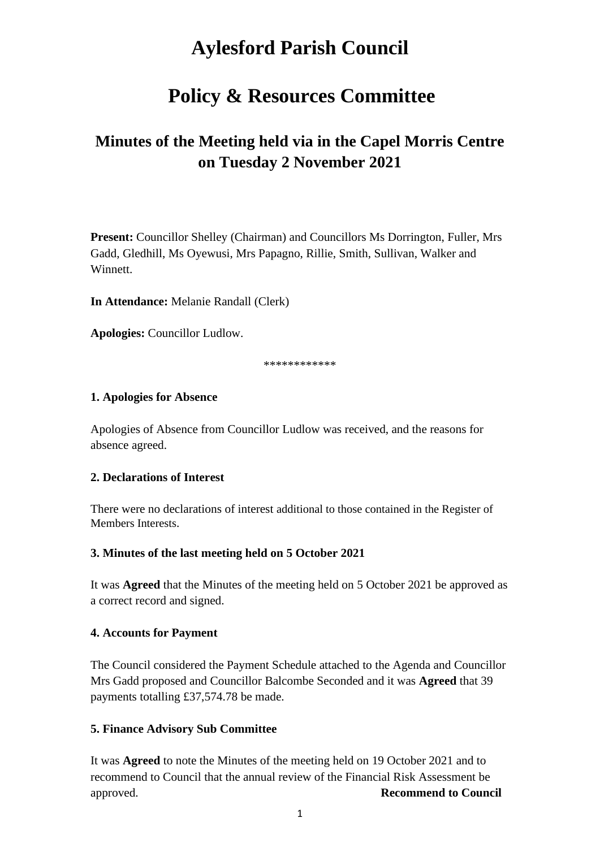# **Aylesford Parish Council**

## **Policy & Resources Committee**

## **Minutes of the Meeting held via in the Capel Morris Centre on Tuesday 2 November 2021**

**Present:** Councillor Shelley (Chairman) and Councillors Ms Dorrington, Fuller, Mrs Gadd, Gledhill, Ms Oyewusi, Mrs Papagno, Rillie, Smith, Sullivan, Walker and Winnett.

**In Attendance:** Melanie Randall (Clerk)

**Apologies:** Councillor Ludlow.

\*\*\*\*\*\*\*\*\*\*\*\*

#### **1. Apologies for Absence**

Apologies of Absence from Councillor Ludlow was received, and the reasons for absence agreed.

## **2. Declarations of Interest**

There were no declarations of interest additional to those contained in the Register of Members Interests.

## **3. Minutes of the last meeting held on 5 October 2021**

It was **Agreed** that the Minutes of the meeting held on 5 October 2021 be approved as a correct record and signed.

## **4. Accounts for Payment**

The Council considered the Payment Schedule attached to the Agenda and Councillor Mrs Gadd proposed and Councillor Balcombe Seconded and it was **Agreed** that 39 payments totalling £37,574.78 be made.

#### **5. Finance Advisory Sub Committee**

It was **Agreed** to note the Minutes of the meeting held on 19 October 2021 and to recommend to Council that the annual review of the Financial Risk Assessment be approved. **Recommend to Council**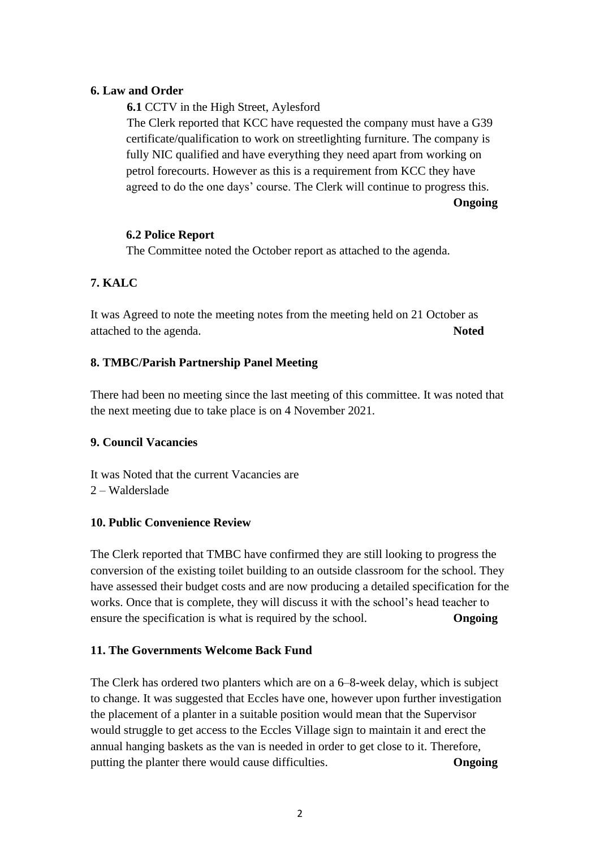## **6. Law and Order**

**6.1** CCTV in the High Street, Aylesford

The Clerk reported that KCC have requested the company must have a G39 certificate/qualification to work on streetlighting furniture. The company is fully NIC qualified and have everything they need apart from working on petrol forecourts. However as this is a requirement from KCC they have agreed to do the one days' course. The Clerk will continue to progress this.

**Ongoing**

## **6.2 Police Report**

The Committee noted the October report as attached to the agenda.

## **7. KALC**

It was Agreed to note the meeting notes from the meeting held on 21 October as attached to the agenda. **Noted**

## **8. TMBC/Parish Partnership Panel Meeting**

There had been no meeting since the last meeting of this committee. It was noted that the next meeting due to take place is on 4 November 2021.

## **9. Council Vacancies**

It was Noted that the current Vacancies are

2 – Walderslade

## **10. Public Convenience Review**

The Clerk reported that TMBC have confirmed they are still looking to progress the conversion of the existing toilet building to an outside classroom for the school. They have assessed their budget costs and are now producing a detailed specification for the works. Once that is complete, they will discuss it with the school's head teacher to ensure the specification is what is required by the school. **Ongoing**

## **11. The Governments Welcome Back Fund**

The Clerk has ordered two planters which are on a 6–8-week delay, which is subject to change. It was suggested that Eccles have one, however upon further investigation the placement of a planter in a suitable position would mean that the Supervisor would struggle to get access to the Eccles Village sign to maintain it and erect the annual hanging baskets as the van is needed in order to get close to it. Therefore, putting the planter there would cause difficulties. **Ongoing**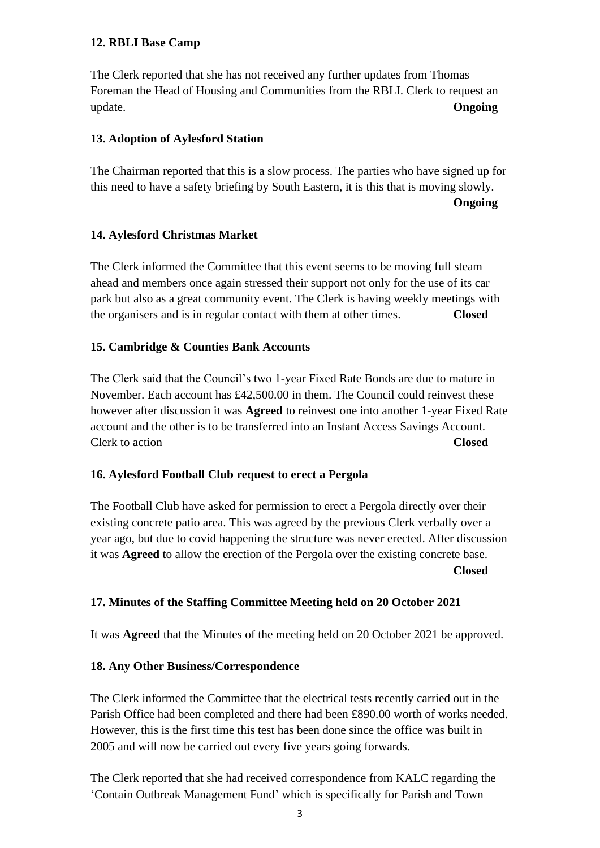## **12. RBLI Base Camp**

The Clerk reported that she has not received any further updates from Thomas Foreman the Head of Housing and Communities from the RBLI. Clerk to request an update. **Ongoing**

#### **13. Adoption of Aylesford Station**

The Chairman reported that this is a slow process. The parties who have signed up for this need to have a safety briefing by South Eastern, it is this that is moving slowly.

**Ongoing**

#### **14. Aylesford Christmas Market**

The Clerk informed the Committee that this event seems to be moving full steam ahead and members once again stressed their support not only for the use of its car park but also as a great community event. The Clerk is having weekly meetings with the organisers and is in regular contact with them at other times. **Closed** 

#### **15. Cambridge & Counties Bank Accounts**

The Clerk said that the Council's two 1-year Fixed Rate Bonds are due to mature in November. Each account has £42,500.00 in them. The Council could reinvest these however after discussion it was **Agreed** to reinvest one into another 1-year Fixed Rate account and the other is to be transferred into an Instant Access Savings Account. Clerk to action **Closed** 

## **16. Aylesford Football Club request to erect a Pergola**

The Football Club have asked for permission to erect a Pergola directly over their existing concrete patio area. This was agreed by the previous Clerk verbally over a year ago, but due to covid happening the structure was never erected. After discussion it was **Agreed** to allow the erection of the Pergola over the existing concrete base. **Closed**

## **17. Minutes of the Staffing Committee Meeting held on 20 October 2021**

It was **Agreed** that the Minutes of the meeting held on 20 October 2021 be approved.

#### **18. Any Other Business/Correspondence**

The Clerk informed the Committee that the electrical tests recently carried out in the Parish Office had been completed and there had been £890.00 worth of works needed. However, this is the first time this test has been done since the office was built in 2005 and will now be carried out every five years going forwards.

The Clerk reported that she had received correspondence from KALC regarding the 'Contain Outbreak Management Fund' which is specifically for Parish and Town